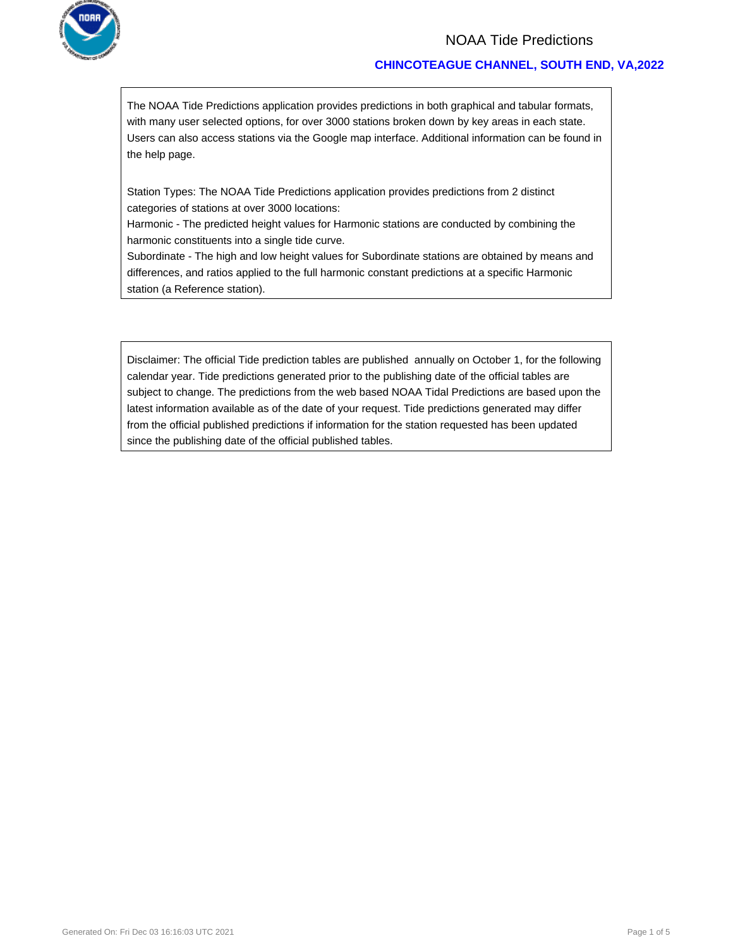

## NOAA Tide Predictions

### **CHINCOTEAGUE CHANNEL, SOUTH END, VA,2022**

The NOAA Tide Predictions application provides predictions in both graphical and tabular formats, with many user selected options, for over 3000 stations broken down by key areas in each state. Users can also access stations via the Google map interface. Additional information can be found in the help page.

Station Types: The NOAA Tide Predictions application provides predictions from 2 distinct categories of stations at over 3000 locations:

Harmonic - The predicted height values for Harmonic stations are conducted by combining the harmonic constituents into a single tide curve.

Subordinate - The high and low height values for Subordinate stations are obtained by means and differences, and ratios applied to the full harmonic constant predictions at a specific Harmonic station (a Reference station).

Disclaimer: The official Tide prediction tables are published annually on October 1, for the following calendar year. Tide predictions generated prior to the publishing date of the official tables are subject to change. The predictions from the web based NOAA Tidal Predictions are based upon the latest information available as of the date of your request. Tide predictions generated may differ from the official published predictions if information for the station requested has been updated since the publishing date of the official published tables.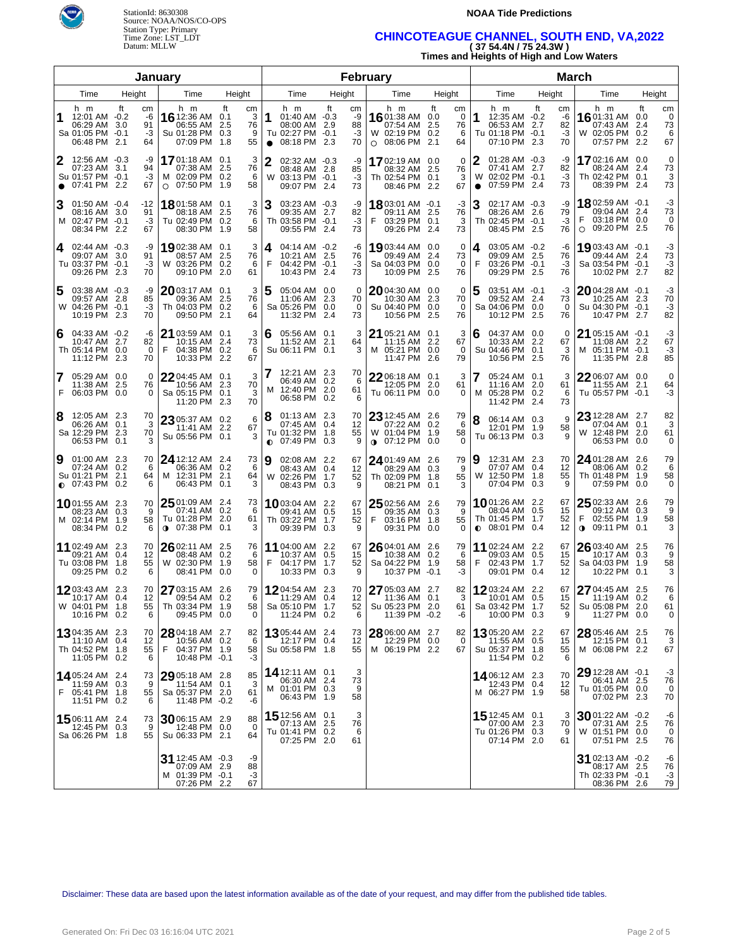



## **NOAA Tide Predictions**

# Time Zone: LST\_LDT **CHINCOTEAGUE CHANNEL, SOUTH END, VA,2022**  Datum: MLLW **( 37 54.4N / 75 24.3W )**

**Times and Heights of High and Low Waters** 

|           |                                                                           |                                  | January                                                                       |                                                      |                                                           |                                                                | February                   |                                                                               |                                              |                                                                                  | <b>March</b>                            |                                                                                         |                                       |  |  |
|-----------|---------------------------------------------------------------------------|----------------------------------|-------------------------------------------------------------------------------|------------------------------------------------------|-----------------------------------------------------------|----------------------------------------------------------------|----------------------------|-------------------------------------------------------------------------------|----------------------------------------------|----------------------------------------------------------------------------------|-----------------------------------------|-----------------------------------------------------------------------------------------|---------------------------------------|--|--|
|           | Time                                                                      | Height                           | Time                                                                          | Height                                               | Time                                                      |                                                                | Height                     | Time                                                                          | Height                                       | Time                                                                             | Height                                  | Time                                                                                    | Height                                |  |  |
|           | h m<br>12:01 AM -0.2<br>06:29 AM 3.0<br>Sa 01:05 PM -0.1<br>06:48 PM 2.1  | ft<br>cm<br>-6<br>91<br>-3<br>64 | h m<br>16 12:36 AM 0.1<br>06:55 AM<br>Su 01:28 PM<br>07:09 PM                 | ft<br>cm<br>3<br>76<br>2.5<br>-9<br>0.3<br>1.8<br>55 | h m<br>1<br>Tu 02:27 PM -0.1<br>08:18 PM 2.3<br>$\bullet$ | ft<br>$01:40$ AM $-0.3$<br>08:00 AM 2.9                        | cm<br>-9<br>88<br>-3<br>70 | h m<br>1601:38 AM 0.0<br>07:54 AM<br>W 02:19 PM 0.2<br>08:06 PM<br>0          | ft<br>cm<br>0<br>76<br>2.5<br>6<br>2.1<br>64 | h m<br>1<br>12:35 AM -0.2<br>06:53 AM 2.7<br>Tu 01:18 PM -0.1<br>07:10 PM        | ft<br>cm<br>-6<br>82<br>-3<br>2.3<br>70 | h m<br>1601:31 AM 0.0<br>07:43 AM 2.4<br>W 02:05 PM 0.2<br>07:57 PM                     | ft<br>cm<br>0<br>73<br>6<br>2.2<br>67 |  |  |
| $\bullet$ | 12:56 AM -0.3<br>07:23 AM 3.1<br>Su 01:57 PM -0.1<br>07:41 PM 2.2         | -9<br>94<br>-3<br>67             | 1701:18 AM 0.1<br>07:38 AM 2.5<br>M 02:09 PM 0.2<br>07:50 PM 1.9<br>$\circ$   | 3<br>76<br>- 6<br>58                                 | $\mathbf 2$<br>W                                          | 02:32 AM -0.3<br>08:48 AM 2.8<br>03:13 PM -0.1<br>09:07 PM 2.4 | -9<br>85<br>-3<br>73       | 1702:19 AM 0.0<br>08:32 AM 2.5<br>Th 02:54 PM 0.1<br>08:46 PM                 | 0<br>76<br>3<br>2.2<br>67                    | 01:28 AM -0.3<br>07:41 AM 2.7<br>02:02 PM -0.1<br>W<br>07:59 PM 2.4<br>$\bullet$ | -9<br>82<br>-3<br>73                    | 1702:16 AM 0.0<br>08:24 AM 2.4<br>Th 02:42 PM 0.1<br>08:39 PM 2.4                       | 0<br>73<br>3<br>73                    |  |  |
|           | $01:50$ AM $-0.4$<br>08:16 AM 3.0<br>M 02:47 PM -0.1<br>08:34 PM 2.2      | -12<br>91<br>-3<br>67            | 1801:58 AM 0.1<br>08:18 AM<br>Tu 02:49 PM 0.2<br>08:30 PM                     | 3<br>76<br>2.5<br>6<br>1.9<br>58                     | 3<br>Th 03:58 PM -0.1                                     | 03:23 AM -0.3<br>09:35 AM 2.7<br>09:55 PM 2.4                  | -9<br>82<br>-3<br>73       | 1803:01 AM -0.1<br>09:11 AM 2.5<br>F<br>03:29 PM 0.1<br>09:26 PM              | -3<br>76<br>3<br>73<br>2.4                   | 3<br>02:17 AM -0.3<br>08:26 AM 2.6<br>Th 02:45 PM -0.1<br>08:45 PM               | -9<br>79<br>-3<br>76<br>2.5             | <b>18</b> 02:59 AM -0.1<br>09:04 AM 2.4<br>F<br>03:18 PM 0.0<br>09:20 PM 2.5<br>$\circ$ | -3<br>73<br>0<br>76                   |  |  |
| 4         | 02:44 AM -0.3<br>09:07 AM 3.0<br>Tu 03:37 PM -0.1<br>09:26 PM 2.3         | -9<br>91<br>-3<br>70             | 1902:38 AM 0.1<br>08:57 AM 2.5<br>W 03:26 PM 0.2<br>09:10 PM                  | 3<br>76<br>6<br>2.0<br>61                            | 4<br>F                                                    | 04:14 AM -0.2<br>10:21 AM 2.5<br>04:42 PM -0.1<br>10:43 PM 2.4 | -6<br>76<br>-3<br>73       | 1903:44 AM 0.0<br>09:49 AM 2.4<br>Sa 04:03 PM 0.0<br>10:09 PM                 | 0<br>73<br>$\Omega$<br>76<br>2.5             | 03:05 AM -0.2<br>4<br>09:09 AM 2.5<br>F<br>03:26 PM -0.1<br>09:29 PM 2.5         | -6<br>76<br>-3<br>76                    | 1903:43 AM -0.1<br>09:44 AM 2.4<br>Sa 03:54 PM -0.1<br>10:02 PM 2.7                     | -3<br>73<br>-3<br>82                  |  |  |
| 5         | 03:38 AM -0.3<br>09:57 AM 2.8<br>W 04:26 PM -0.1<br>10:19 PM 2.3          | -9<br>85<br>-3<br>70             | $2003:17$ AM 0.1<br>09:36 AM<br>Th 04:03 PM 0.2<br>09:50 PM                   | 3<br>76<br>2.5<br>6<br>2.1<br>64                     | 5<br>Sa 05:26 PM 0.0                                      | 05:04 AM 0.0<br>11:06 AM 2.3<br>11:32 PM 2.4                   | 0<br>70<br>$\Omega$<br>73  | 2004:30 AM 0.0<br>10:30 AM 2.3<br>Su 04:40 PM 0.0<br>10:56 PM                 | 0<br>70<br>$\Omega$<br>76<br>2.5             | 03:51 AM -0.1<br>5<br>09:52 AM 2.4<br>Sa 04:06 PM 0.0<br>10:12 PM                | -3<br>73<br>$\Omega$<br>2.5<br>76       | 2004:28 AM -0.1<br>10:25 AM 2.3<br>Su 04:30 PM -0.1<br>10:47 PM 2.7                     | -3<br>70<br>-3<br>82                  |  |  |
| 6         | 04:33 AM -0.2<br>10:47 AM 2.7<br>Th 05:14 PM 0.0<br>11:12 PM 2.3          | -6<br>82<br>$\Omega$<br>70       | $2103:59$ AM 0.1<br>10:15 AM 2.4<br>F<br>04:38 PM 0.2<br>10:33 PM             | 3<br>73<br>6<br>2.2<br>67                            | 6<br>Su 06:11 PM 0.1                                      | 05:56 AM 0.1<br>11:52 AM 2.1                                   | 3<br>64<br>3               | 21 05:21 AM 0.1<br>11:15 AM 2.2<br>M 05:21 PM 0.0<br>11:47 PM                 | 3<br>67<br>$\Omega$<br>79<br>2.6             | 04:37 AM 0.0<br>6<br>10:33 AM 2.2<br>Su 04:46 PM 0.1<br>10:56 PM                 | 0<br>67<br>3<br>2.5<br>76               | 21 05:15 AM -0.1<br>11:08 AM 2.2<br>05:11 PM -0.1<br>M<br>11:35 PM 2.8                  | -3<br>67<br>-3<br>85                  |  |  |
| F         | 05:29 AM 0.0<br>11:38 AM 2.5<br>06:03 PM 0.0                              | 0<br>76<br>$\Omega$              | $2204:45$ AM 0.1<br>10:56 AM 2.3<br>Sa 05:15 PM 0.1<br>11:20 PM               | 3<br>70<br>3<br>70<br>2.3                            | м                                                         | 12:21 AM 2.3<br>06:49 AM 0.2<br>12:40 PM 2.0<br>06:58 PM 0.2   | 70<br>6<br>61<br>6         | $2206:18$ AM 0.1<br>12:05 PM 2.0<br>Tu 06:11 PM 0.0                           | 3<br>61<br>0                                 | 05:24 AM 0.1<br>11:16 AM 2.0<br>05:28 PM 0.2<br>M<br>11:42 PM                    | 3<br>61<br>6<br>2.4<br>73               | 22 06:07 AM 0.0<br>11:55 AM 2.1<br>Tu 05:57 PM -0.1                                     | 0<br>64<br>-3                         |  |  |
| 8         | 12:05 AM 2.3<br>06:26 AM 0.1<br>Sa 12:29 PM 2.3<br>06:53 PM 0.1           | 70<br>-3<br>70<br>3              | 23 05:37 AM 0.2<br>11:41 AM 2.2<br>Su 05:56 PM 0.1                            | 6<br>67<br>3                                         | 8<br>Tu 01:32 PM 1.8<br>$O$ 07:49 PM 0.3                  | 01:13 AM 2.3<br>07:45 AM 0.4                                   | 70<br>12<br>55<br>9        | 23 12:45 AM 2.6<br>07:22 AM 0.2<br>W 01:04 PM 1.9<br>$0.07:12 \text{ PM} 0.0$ | 79<br>6<br>58<br>0                           | 8<br>06:14 AM 0.3<br>12:01 PM 1.9<br>Tu 06:13 PM 0.3                             | 9<br>58<br>9                            | 23 12:28 AM 2.7<br>07:04 AM 0.1<br>W 12:48 PM 2.0<br>06:53 PM 0.0                       | 82<br>3<br>61<br>0                    |  |  |
| 9         | 01:00 AM 2.3<br>07:24 AM 0.2<br>Su 01:21 PM 2.1<br>$\bullet$ 07:43 PM 0.2 | 70<br>6<br>64<br>6               | 24 12:12 AM 2.4<br>06:36 AM 0.2<br>M 12:31 PM 2.1<br>06:43 PM 0.1             | 73<br>6<br>64<br>3                                   | 9<br>W                                                    | 02:08 AM 2.2<br>08:43 AM 0.4<br>02:26 PM 1.7<br>08:43 PM 0.3   | 67<br>12<br>52<br>9        | 24 01:49 AM 2.6<br>08:29 AM 0.3<br>Th 02:09 PM 1.8<br>08:21 PM 0.1            | 79<br>-9<br>55<br>3                          | 9<br>12:31 AM 2.3<br>07:07 AM 0.4<br>W 12:50 PM 1.8<br>07:04 PM 0.3              | 70<br>12<br>55<br>9                     | 24 01:28 AM 2.6<br>08:06 AM 0.2<br>Th 01:48 PM 1.9<br>07:59 PM 0.0                      | 79<br>6<br>58<br>0                    |  |  |
|           | 1001:55 AM 2.3<br>08:23 AM 0.3<br>M 02:14 PM 1.9<br>08:34 PM 0.2          | 70<br>9<br>58<br>6               | 25 01:09 AM 2.4<br>07:41 AM 0.2<br>Tu 01:28 PM 2.0<br>$\bigcirc$ 07:38 PM 0.1 | 73<br>-6<br>61<br>3                                  | <b>10</b> 03:04 AM 2.2<br>Th 03:22 PM 1.7                 | 09:41 AM 0.5<br>09:39 PM 0.3                                   | 67<br>15<br>52<br>9        | 25 02:56 AM 2.6<br>09:35 AM 0.3<br>F<br>03:16 PM 1.8<br>09:31 PM 0.0          | 79<br>-9<br>55<br>$\Omega$                   | 1001:26 AM 2.2<br>08:04 AM 0.5<br>Th 01:45 PM 1.7<br>$\bullet$ 08:01 PM 0.4      | 67<br>15<br>52<br>12                    | 25 02:33 AM 2.6<br>09:12 AM 0.3<br>02:55 PM 1.9<br>09:11 PM 0.1<br>$\bullet$            | 79<br>9<br>58<br>3                    |  |  |
|           | <b>11</b> 02:49 AM 2.3<br>09:21 AM 0.4<br>Tu 03:08 PM 1.8<br>09:25 PM 0.2 | 70<br>12<br>55<br>6              | $2602:11$ AM 2.5<br>08:48 AM 0.2<br>W 02:30 PM<br>08:41 PM 0.0                | 76<br>6<br>1.9<br>58<br>0                            | 11 04:00 AM 2.2<br>F                                      | 10:37 AM 0.5<br>04:17 PM 1.7<br>10:33 PM 0.3                   | 67<br>15<br>52<br>9        | 26 04:01 AM 2.6<br>10:38 AM 0.2<br>Sa 04:22 PM 1.9<br>10:37 PM -0.1           | 79<br>6<br>58<br>-3                          | 11 02:24 AM 2.2<br>09:03 AM 0.5<br>F<br>02:43 PM<br>09:01 PM 0.4                 | 67<br>15<br>- 1.7<br>52<br>12           | 26 03:40 AM 2.5<br>10:17 AM 0.3<br>Sa 04:03 PM 1.9<br>10:22 PM 0.1                      | 76<br>9<br>58<br>3                    |  |  |
|           | 1203:43 AM 2.3<br>10:17 AM 0.4<br>W 04:01 PM 1.8<br>10:16 PM 0.2          | 70<br>12<br>55<br>6              | 27 03:15 AM 2.6<br>09:54 AM 0.2<br>Th 03:34 PM 1.9<br>09:45 PM 0.0            | 79<br>6<br>58<br>0                                   | 12 04:54 AM 2.3<br>Sa 05:10 PM 1.7                        | 11:29 AM 0.4<br>11:24 PM 0.2                                   | 70<br>12<br>52<br>6        | 27 05:03 AM 2.7<br>11:36 AM 0.1<br>Su 05:23 PM 2.0<br>11:39 PM -0.2           | 82<br>3<br>61<br>-6                          | 1203:24 AM 2.2<br>10:01 AM 0.5<br>Sa 03:42 PM 1.7<br>10:00 PM 0.3                | 67<br>15<br>52<br>9                     | 27 04:45 AM 2.5<br>11:19 AM 0.2<br>Su 05:08 PM 2.0<br>11:27 PM 0.0                      | 76<br>6<br>61<br>0                    |  |  |
|           | 1304:35 AM 2.3<br>11:10 AM 0.4<br>Th 04:52 PM 1.8<br>11:05 PM 0.2         | 70<br>12<br>55<br>6              | 28 04:18 AM 2.7<br>10:56 AM 0.2<br>F<br>04:37 PM 1.9<br>10:48 PM -0.1         | 82<br>6<br>58<br>-3                                  | 1305:44 AM 2.4<br>Su 05:58 PM 1.8                         | 12:17 PM 0.4                                                   | 73<br>12<br>55             | 28 06:00 AM 2.7<br>12:29 PM 0.0<br>M 06:19 PM 2.2                             | 82<br>0<br>67                                | <b>13</b> 05:20 AM 2.2<br>11:55 AM 0.5<br>Su 05:37 PM 1.8<br>11:54 PM 0.2        | 67<br>15<br>55<br>ี                     | 28 05:46 AM 2.5<br>12:15 PM 0.1<br>M 06:08 PM 2.2                                       | 76<br>3<br>67                         |  |  |
| F         | 1405:24 AM 2.4<br>11:59 AM 0.3<br>05:41 PM 1.8<br>11:51 PM 0.2            | 73<br>9<br>55<br>6               | 29 05:18 AM 2.8<br>11:54 AM 0.1<br>Sa 05:37 PM 2.0<br>11:48 PM -0.2           | 85<br>3<br>61<br>-6                                  | 14 12:11 AM 0.1<br>M                                      | 06:30 AM 2.4<br>01:01 PM 0.3<br>06:43 PM 1.9                   | 3<br>73<br>9<br>58         |                                                                               |                                              | 1406:12 AM 2.3<br>12:43 PM 0.4<br>M 06:27 PM 1.9                                 | 70<br>12<br>58                          | 29 12:28 AM -0.1<br>06:41 AM 2.5<br>Tu 01:05 PM 0.0<br>07:02 PM 2.3                     | -3<br>76<br>0<br>70                   |  |  |
|           | 1506:11 AM 2.4<br>12:45 PM 0.3<br>Sa 06:26 PM 1.8                         | 73<br>9<br>55                    | 30 06:15 AM 2.9<br>12:48 PM 0.0<br>Su 06:33 PM 2.1                            | 88<br>$\Omega$<br>64                                 | 15 12:56 AM 0.1<br>Tu 01:41 PM 0.2                        | 07:13 AM 2.5<br>07:25 PM 2.0                                   | 3<br>76<br>6<br>61         |                                                                               |                                              | <b>15</b> 12:45 AM 0.1<br>07:00 AM 2.3<br>Tu 01:26 PM 0.3<br>07:14 PM 2.0        | 70<br>9<br>61                           | 3001:22 AM -0.2<br>07:31 AM 2.5<br>W 01:51 PM 0.0<br>07:51 PM 2.5                       | -6<br>76<br>0<br>76                   |  |  |
|           |                                                                           |                                  | 31 12:45 AM -0.3<br>07:09 AM 2.9<br>M 01:39 PM -0.1<br>07:26 PM 2.2           | -9<br>88<br>-3<br>67                                 |                                                           |                                                                |                            |                                                                               |                                              |                                                                                  |                                         | 31 02:13 AM -0.2<br>08:17 AM 2.5<br>Th 02:33 PM -0.1<br>08:36 PM 2.6                    | -6<br>76<br>-3<br>79                  |  |  |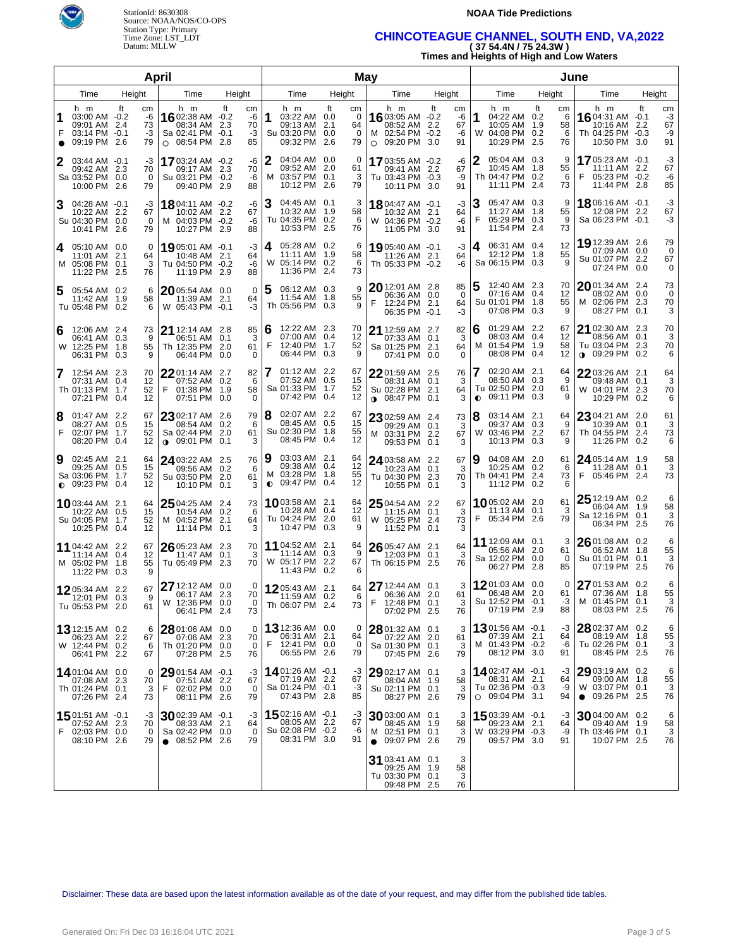



### **NOAA Tide Predictions**

# Time Zone: LST\_LDT **CHINCOTEAGUE CHANNEL, SOUTH END, VA,2022**  Datum: MLLW **( 37 54.4N / 75 24.3W )**

**Times and Heights of High and Low Waters** 

|        |                                                                           |            | April                      |                                                                   |                                                  |    |                              |                |                                                                        |     | May                             |   |                                                                                |           |                            |           | June                                                                    |    |                           |                                                                             |                   |                            |
|--------|---------------------------------------------------------------------------|------------|----------------------------|-------------------------------------------------------------------|--------------------------------------------------|----|------------------------------|----------------|------------------------------------------------------------------------|-----|---------------------------------|---|--------------------------------------------------------------------------------|-----------|----------------------------|-----------|-------------------------------------------------------------------------|----|---------------------------|-----------------------------------------------------------------------------|-------------------|----------------------------|
|        | Time                                                                      | Height     |                            |                                                                   | Time                                             |    | Height                       |                | Time                                                                   |     | Height                          |   | Time                                                                           |           | Height                     |           | Time                                                                    |    | Height                    | Time                                                                        |                   | Height                     |
| 1<br>F | h m<br>03:00 AM -0.2<br>09:01 AM 2.4<br>03:14 PM -0.1<br>09:19 PM         | ft<br>-2.6 | cm<br>-6<br>73<br>-3<br>79 | <b>16</b> 02:38 AM $-0.2$<br>$\circ$ 08:54 PM 2.8                 | h m<br>08:34 AM 2.3<br>Sa 02:41 PM -0.1          | ft | cm<br>-6<br>70<br>$-3$<br>85 | 1              | h m<br>03:22 AM 0.0<br>09:13 AM 2.1<br>Su 03:20 PM 0.0<br>09:32 PM 2.6 | ft  | cm<br>$\Omega$<br>64<br>0<br>79 |   | h m<br>16 03:05 AM -0.2<br>08:52 AM 2.2<br>M 02:54 PM -0.2<br>$\circ$ 09:20 PM | ft<br>3.0 | cm<br>-6<br>67<br>-6<br>91 | 1<br>W    | h m<br>04:22 AM 0.2<br>10:05 AM 1.9<br>04:08 PM 0.2<br>10:29 PM 2.5     | ft | cm<br>6<br>58<br>6<br>76  | h m<br>1604:31 AM -0.1<br>10:16 AM<br>Th 04:25 PM -0.3<br>10:50 PM 3.0      | ft<br>2.2         | cm<br>-3<br>67<br>-9<br>91 |
| 2      | 03:44 AM -0.1<br>09:42 AM 2.3<br>Sa 03:52 PM 0.0<br>10:00 PM 2.6          |            | -3<br>70<br>0<br>79        | <b>17</b> 03:24 AM -0.2                                           | 09:17 AM 2.3<br>Su 03:21 PM -0.2<br>09:40 PM 2.9 |    | -6<br>70<br>-6<br>88         | 2              | 04:04 AM 0.0<br>09:52 AM 2.0<br>M 03:57 PM 0.1<br>10:12 PM 2.6         |     | 0<br>61<br>3<br>79              |   | 1703:55 AM -0.2<br>09:41 AM 2.2<br>Tu 03:43 PM -0.3<br>10:11 PM 3.0            |           | -6<br>67<br>-9<br>91       |           | 05:04 AM 0.3<br>10:45 AM 1.8<br>Th 04:47 PM 0.2<br>11:11 PM 2.4         |    | 9<br>55<br>6<br>73        | 17 05:23 AM -0.1<br>11:11 AM 2.2<br>F<br>05:23 PM -0.2<br>11:44 PM 2.8      |                   | -3<br>67<br>-6<br>85       |
| 3      | 04:28 AM -0.1<br>10:22 AM 2.2<br>Su 04:30 PM 0.0<br>10:41 PM 2.6          |            | -3<br>67<br>0<br>79        | <b>18</b> 04:11 AM -0.2<br>M 04:03 PM -0.2                        | 10:02 AM 2.2<br>10:27 PM 2.9                     |    | -6<br>67<br>-6<br>88         | З              | 04:45 AM 0.1<br>10:32 AM 1.9<br>Tu 04:35 PM 0.2<br>10:53 PM 2.5        |     | 3<br>58<br>6<br>76              |   | 1804:47 AM -0.1<br>10:32 AM 2.1<br>W 04:36 PM -0.2<br>11:05 PM 3.0             |           | -3<br>64<br>-6<br>91       | З<br>F    | 05:47 AM 0.3<br>11:27 AM 1.8<br>05:29 PM 0.3<br>11:54 PM 2.4            |    | 9<br>55<br>9<br>73        | 18 06:16 AM -0.1<br>12:08 PM 2.2<br>Sa 06:23 PM -0.1                        |                   | -3<br>67<br>-3             |
| 4      | 05:10 AM 0.0<br>11:01 AM 2.1<br>M 05:08 PM 0.1<br>11:22 PM 2.5            |            | 0<br>64<br>3<br>76         | 19 05:01 AM -0.1<br>Tu 04:50 PM -0.2                              | 10:48 AM 2.1<br>11:19 PM 2.9                     |    | -3<br>64<br>-6<br>88         | 4              | 05:28 AM 0.2<br>11:11 AM 1.9<br>W 05:14 PM 0.2<br>11:36 PM 2.4         |     | 6<br>58<br>6<br>73              |   | 19 05:40 AM -0.1<br>11:26 AM 2.1<br>Th 05:33 PM -0.2                           |           | -3<br>64<br>-6             | 4         | 06:31 AM 0.4<br>12:12 PM 1.8<br>Sa 06:15 PM 0.3                         |    | 12<br>55<br>9             | 19 12:39 AM 2.6<br>07:09 AM 0.0<br>Su 01:07 PM 2.2<br>07:24 PM              | 0.0               | 79<br>0<br>67<br>$\Omega$  |
| 5      | 05:54 AM 0.2<br>11:42 AM 1.9<br>Tu 05:48 PM 0.2                           |            | 6<br>58<br>6               | 2005:54 AM 0.0<br>W 05:43 PM -0.1                                 | 11:39 AM 2.1                                     |    | 0<br>64<br>-3                | 5              | 06:12 AM 0.3<br>11:54 AM 1.8<br>Th 05:56 PM 0.3                        |     | 9<br>55<br>9                    | F | 20 12:01 AM 2.8<br>06:36 AM 0.0<br>12:24 PM 2.1<br>06:35 PM -0.1               |           | 85<br>0<br>64<br>-3        | 5         | 12:40 AM 2.3<br>07:16 AM 0.4<br>Su 01:01 PM 1.8<br>07:08 PM 0.3         |    | 70<br>12<br>55<br>9       | 2001:34 AM 2.4<br>08:02 AM 0.0<br>M 02:06 PM 2.3<br>08:27 PM 0.1            |                   | 73<br>0<br>70<br>3         |
| 6      | 12:06 AM 2.4<br>06:41 AM 0.3<br>W 12:25 PM 1.8<br>06:31 PM 0.3            |            | 73<br>9<br>55<br>9         | 21 12:14 AM 2.8<br>Th 12:35 PM 2.0                                | 06:51 AM 0.1<br>06:44 PM 0.0                     |    | 85<br>3<br>61<br>0           | 6<br>F         | 12:22 AM 2.3<br>07:00 AM 0.4<br>12:40 PM 1.7<br>06:44 PM               | 0.3 | 70<br>12<br>52<br>9             |   | 21 12:59 AM 2.7<br>07:33 AM 0.1<br>Sa 01:25 PM 2.1<br>07:41 PM 0.0             |           | 82<br>3<br>64<br>0         | 6<br>M    | 01:29 AM 2.2<br>08:03 AM 0.4<br>01:54 PM 1.9<br>08:08 PM 0.4            |    | 67<br>12<br>58<br>12      | 21 02:30 AM<br>08:56 AM 0.1<br>Tu 03:04 PM<br>09:29 PM<br>$\bullet$         | 2.3<br>2.3<br>0.2 | 70<br>3<br>70<br>6         |
| 7      | 12:54 AM 2.3<br>07:31 AM 0.4<br>Th 01:13 PM 1.7<br>07:21 PM 0.4           |            | 70<br>12<br>52<br>12       | 2201:14 AM 2.7<br>F                                               | 07:52 AM 0.2<br>01:38 PM 1.9<br>07:51 PM 0.0     |    | 82<br>6<br>58<br>0           |                | $01:12$ AM $2.2$<br>07:52 AM 0.5<br>Sa 01:33 PM 1.7<br>07:42 PM        | 0.4 | 67<br>15<br>52<br>12            |   | 2201:59 AM 2.5<br>08:31 AM 0.1<br>Su 02:28 PM 2.1<br>$0.08:47$ PM 0.1          |           | 76<br>3<br>64<br>3         | $\bullet$ | 02:20 AM 2.1<br>08:50 AM 0.3<br>Tu 02:50 PM 2.0<br>09:11 PM 0.3         |    | 64<br>9<br>61<br>9        | 22 03:26 AM 2.1<br>09:48 AM 0.1<br>W 04:01 PM<br>10:29 PM 0.2               | 2.3               | 64<br>3<br>70<br>6         |
| 8<br>F | 01:47 AM 2.2<br>08:27 AM 0.5<br>02:07 PM 1.7<br>08:20 PM 0.4              |            | 67<br>15<br>52<br>12       | 23 02:17 AM 2.6<br>$\bullet$ 09:01 PM 0.1                         | 08:54 AM 0.2<br>Sa 02:44 PM 2.0                  |    | 79<br>6<br>61<br>3           | 18             | 02:07 AM 2.2<br>08:45 AM 0.5<br>Su 02:30 PM 1.8<br>08:45 PM            | 0.4 | 67<br>15<br>55<br>12            |   | 23 02:59 AM 2.4<br>09:29 AM 0.1<br>M 03:31 PM 2.2<br>09:53 PM 0.1              |           | 73<br>3<br>67<br>3         | 8<br>W    | 03:14 AM 2.1<br>09:37 AM 0.3<br>03:46 PM 2.2<br>10:13 PM 0.3            |    | 64<br>9<br>67<br>9        | 23 04:21 AM 2.0<br>10:39 AM 0.1<br>Th 04:55 PM 2.4<br>11:26 PM 0.2          |                   | 61<br>3<br>73<br>6         |
| 9      | 02:45 AM 2.1<br>09:25 AM 0.5<br>Sa 03:06 PM<br>$\bullet$ 09:23 PM 0.4     | 1.7        | 64<br>15<br>52<br>12       | 24 03:22 AM 2.5                                                   | 09:56 AM 0.2<br>Su 03:50 PM 2.0<br>10:10 PM 0.1  |    | 76<br>6<br>61<br>3           | 9<br>$\bullet$ | 03:03 AM 2.1<br>09:38 AM 0.4<br>M 03:28 PM 1.8<br>09:47 PM             | 0.4 | 64<br>12<br>55<br>12            |   | 24 03:58 AM 2.2<br>10:23 AM 0.1<br>Tu 04:30 PM 2.3<br>10:55 PM 0.1             |           | 67<br>3<br>70<br>3         | 9         | 04:08 AM 2.0<br>10:25 AM 0.2<br>Th 04:41 PM 2.4<br>11:12 PM 0.2         |    | 61<br>6<br>73             | 24 05:14 AM 1.9<br>11:28 AM 0.1<br>05:46 PM 2.4                             |                   | 58<br>3<br>73              |
|        | <b>10</b> 03:44 AM 2.1<br>10:22 AM 0.5<br>Su 04:05 PM 1.7<br>10:25 PM 0.4 |            | 64<br>15<br>52<br>12       | $2504:25$ AM 2.4<br>M 04:52 PM 2.1                                | 10:54 AM 0.2<br>11:14 PM 0.1                     |    | 73<br>6<br>64<br>3           |                | 10 03:58 AM 2.1<br>10:28 AM 0.4<br>Tu 04:24 PM 2.0<br>10:47 PM 0.3     |     | 64<br>12<br>61<br>9             |   | 25 04:54 AM 2.2<br>$11:15$ AM 0.1<br>W 05:25 PM 2.4<br>11:52 PM 0.1            |           | 67<br>3<br>73<br>3         | F         | 1005:02 AM 2.0<br>11:13 AM 0.1<br>05:34 PM 2.6                          |    | 61<br>3<br>79             | $2512:19$ AM 0.2<br>06:04 AM 1.9<br>Sa 12:16 PM 0.1<br>06:34 PM             | 2.5               | 6<br>58<br>3<br>76         |
|        | 11 04:42 AM 2.2<br>11:14 AM 0.4<br>M 05:02 PM 1.8<br>11:22 PM 0.3         |            | 67<br>12<br>55<br>9        | $2605:23$ AM 2.3<br>Tu 05:49 PM 2.3                               | 11:47 AM 0.1                                     |    | 70<br>3<br>70                |                | 11 04:52 AM 2.1<br>11:14 AM 0.3<br>W 05:17 PM 2.2<br>11:43 PM 0.2      |     | 64<br>9<br>67<br>6              |   | 26 05:47 AM 2.1<br>12:03 PM 0.1<br>Th 06:15 PM 2.5                             |           | 64<br>3<br>76              |           | 11 12:09 AM 0.1<br>05:56 AM 2.0<br>Sa 12:02 PM 0.0<br>06:27 PM 2.8      |    | 3<br>61<br>$\Omega$<br>85 | 26 01:08 AM 0.2<br>06:52 AM 1.8<br>Su 01:01 PM 0.1<br>07:19 PM 2.5          |                   | 6<br>55<br>3<br>76         |
|        | 1205:34 AM 2.2<br>12:01 PM 0.3<br>Tu 05:53 PM 2.0                         |            | 67<br>9<br>61              | 27 12:12 AM 0.0<br>W 12:36 PM 0.0                                 | 06:17 AM 2.3<br>06:41 PM 2.4                     |    | 0<br>70<br>0<br>73           |                | 1205:43 AM 2.1<br>11:59 AM 0.2<br>Th 06:07 PM 2.4                      |     | 64<br>6<br>73                   | F | 27 12:44 AM 0.1<br>06:36 AM 2.0<br>12:48 PM 0.1<br>07:02 PM 2.5                |           | 3<br>61<br>3<br>76         |           | 1201:03 AM 0.0<br>06:48 AM 2.0<br>Su 12:52 PM -0.1<br>07:19 PM 2.9      |    | 0<br>61<br>-3<br>88       | 27 01:53 AM 0.2<br>07:36 AM 1.8<br>M 01:45 PM 0.1<br>08:03 PM 2.5           |                   | 6<br>55<br>3<br>76         |
|        | 13 12:15 AM 0.2<br>06:23 AM 2.2<br>W 12:44 PM 0.2<br>06:41 PM 2.2         |            | 6<br>67<br>6<br>67         | $2801:06$ AM 0.0<br>Th 01:20 PM 0.0                               | 07:06 AM 2.3<br>07:28 PM 2.5                     |    | 0<br>70<br>0<br>76           | F              | <b>13</b> 12:36 AM 0.0<br>06:31 AM 2.1<br>12:41 PM 0.0<br>06:55 PM 2.6 |     | 0<br>64<br>0<br>79              |   | $2801:32$ AM 0.1<br>07:22 AM 2.0<br>Sa 01:30 PM 0.1<br>07:45 PM 2.6            |           | 3<br>61<br>3<br>79         |           | 13 01:56 AM -0.1<br>07:39 AM 2.1<br>M 01:43 PM -0.2<br>08:12 PM 3.0     |    | -3<br>64<br>-6<br>91      | 28 02:37 AM 0.2<br>08:19 AM 1.8<br>Tu 02:26 PM 0.1<br>08:45 PM 2.5          |                   | 6<br>55<br>3<br>76         |
|        | 1401:04 AM 0.0<br>07:08 AM 2.3<br>Th 01:24 PM 0.1<br>07:26 PM 2.4         |            | 0<br>70<br>3<br>73         | $2901:54$ AM $-0.1$<br>F                                          | 07:51 AM 2.2<br>02:02 PM 0.0<br>08:11 PM 2.6     |    | -3<br>67<br>0<br>79          |                | 1401:26 AM -0.1<br>07:19 AM 2.2<br>Sa 01:24 PM -0.1<br>07:43 PM 2.8    |     | -3<br>67<br>-3<br>85            |   | $2902:17$ AM 0.1<br>08:04 AM 1.9<br>Su 02:11 PM 0.1<br>08:27 PM 2.6            |           | 3<br>58<br>3<br>79         |           | 1402:47 AM -0.1<br>08:31 AM 2.1<br>Tu 02:36 PM -0.3<br>$O$ 09:04 PM 3.1 |    | -3<br>64<br>-9<br>94      | $2903:19AM$ 0.2<br>09:00 AM 1.8<br>W 03:07 PM 0.1<br>$\bullet$ 09:26 PM 2.5 |                   | 6<br>55<br>3<br>76         |
| F      | 1501:51 AM -0.1<br>07:52 AM 2.3<br>02:03 PM 0.0<br>08:10 PM 2.6           |            | -3<br>70<br>0<br>79        | $30$ 02:39 AM $-0.1$<br>Sa 02:42 PM 0.0<br>$\bullet$ 08:52 PM 2.6 | 08:33 AM 2.1                                     |    | -3<br>64<br>0<br>79          |                | 1502:16 AM -0.1<br>08:05 AM 2.2<br>Su 02:08 PM -0.2<br>08:31 PM 3.0    |     | -3<br>67<br>-6<br>91            |   | 30 03:00 AM 0.1<br>08:45 AM 1.9<br>M 02:51 PM 0.1<br>$\bullet$ 09:07 PM 2.6    |           | 3<br>58<br>3<br>79         |           | 15 03:39 AM -0.1<br>09:23 AM 2.1<br>W 03:29 PM -0.3<br>09:57 PM 3.0     |    | -3<br>64<br>-9<br>91      | 30 04:00 AM 0.2<br>09:40 AM 1.9<br>Th 03:46 PM 0.1<br>10:07 PM 2.5          |                   | 6<br>58<br>3<br>76         |
|        |                                                                           |            |                            |                                                                   |                                                  |    |                              |                |                                                                        |     |                                 |   | 31 03:41 AM 0.1<br>09:25 AM 1.9<br>Tu 03:30 PM 0.1<br>09:48 PM 2.5             |           | 3<br>58<br>3<br>76         |           |                                                                         |    |                           |                                                                             |                   |                            |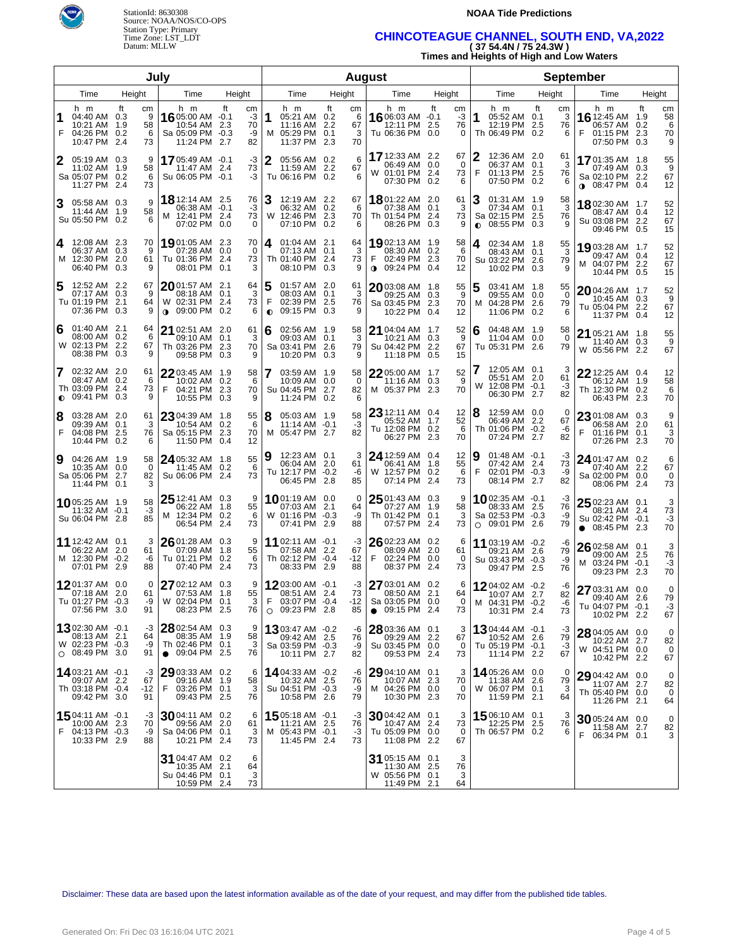

# Source: NOAA/NOS/CO-OPS Station Type: Primary

### **NOAA Tide Predictions**

# Time Zone: LST\_LDT **CHINCOTEAGUE CHANNEL, SOUTH END, VA,2022**  Datum: MLLW **( 37 54.4N / 75 24.3W )**

**Times and Heights of High and Low Waters** 

|                |                                                                            |                                | July                                                                               |                                  |                                                                                      |                                       | <b>August</b>                                                                     |                      |                                                                                 |                          | <b>September</b>                                                              |                                       |  |  |
|----------------|----------------------------------------------------------------------------|--------------------------------|------------------------------------------------------------------------------------|----------------------------------|--------------------------------------------------------------------------------------|---------------------------------------|-----------------------------------------------------------------------------------|----------------------|---------------------------------------------------------------------------------|--------------------------|-------------------------------------------------------------------------------|---------------------------------------|--|--|
|                | Time                                                                       | Height                         | Time                                                                               | Height                           | Time                                                                                 | Height                                | Time<br>Height                                                                    |                      | Time                                                                            | Height                   | Time                                                                          | Height                                |  |  |
| 1<br>F         | h m<br>04:40 AM 0.3<br>10:21 AM 1.9<br>04:26 PM 0.2<br>10:47 PM 2.4        | ft<br>cm<br>9<br>58<br>6<br>73 | h m<br>1605:00 AM -0.1<br>10:54 AM 2.3<br>Sa 05:09 PM -0.3<br>11:24 PM 2.7         | ft<br>cm<br>-3<br>70<br>-9<br>82 | h m<br>1<br>05:21 AM 0.2<br>11:16 AM 2.2<br>M 05:29 PM<br>11:37 PM 2.3               | ft<br>сm<br>6<br>67<br>0.1<br>3<br>70 | ft<br>h m<br>16 06:03 AM -0.1<br>12:11 PM<br>2.5<br>Tu 06:36 PM 0.0               | cm<br>-3<br>76<br>0  | h m<br>1<br>05:52 AM 0.1<br>12:19 PM 2.5<br>Th 06:49 PM 0.2                     | ft<br>cm<br>3<br>76<br>6 | h m<br>16 12:45 AM 1.9<br>06:57 AM<br>F<br>01:15 PM 2.3<br>07:50 PM 0.3       | ft<br>cm<br>58<br>0.2<br>6<br>70<br>9 |  |  |
| 2              | 05:19 AM 0.3<br>11:02 AM 1.9<br>Sa 05:07 PM 0.2<br>11:27 PM 2.4            | 9<br>58<br>6<br>73             | 1705:49 AM -0.1<br>11:47 AM 2.4<br>Su 06:05 PM -0.1                                | -3<br>73<br>-3                   | 2<br>05:56 AM 0.2<br>11:59 AM 2.2<br>Tu 06:16 PM 0.2                                 | 6<br>67<br>6                          | <b>17</b> 12:33 AM<br>2.2<br>06:49 AM 0.0<br>W 01:01 PM 2.4<br>07:30 PM 0.2       | 67<br>0<br>73<br>6   | 2<br>12:36 AM 2.0<br>06:37 AM 0.1<br>F<br>01:13 PM 2.5<br>07:50 PM 0.2          | 61<br>3<br>76<br>6       | 1701:35 AM 1.8<br>07:49 AM 0.3<br>Sa 02:10 PM 2.2<br>$\bullet$ 08:47 PM 0.4   | 55<br>9<br>67<br>12                   |  |  |
| 3              | 05:58 AM 0.3<br>11:44 AM 1.9<br>Su 05:50 PM 0.2                            | 9<br>58<br>6                   | <b>18</b> 12:14 AM 2.5<br>06:38 AM -0.1<br>M 12:41 PM 2.4<br>07:02 PM 0.0          | 76<br>-3<br>73<br>0              | 12:19 AM 2.2<br>06:32 AM 0.2<br>W 12:46 PM 2.3<br>07:10 PM 0.2                       | 67<br>6<br>70<br>6                    | 1801:22 AM 2.0<br>07:38 AM 0.1<br>Th 01:54 PM 2.4<br>08:26 PM 0.3                 | 61<br>3<br>73<br>9   | 01:31 AM 1.9<br>07:34 AM 0.1<br>Sa 02:15 PM 2.5<br>08:55 PM 0.3<br>$\bullet$    | 58<br>3<br>76<br>9       | 1802:30 AM 1.7<br>08:47 AM 0.4<br>Su 03:08 PM 2.2<br>09:46 PM 0.5             | 52<br>12<br>67<br>15                  |  |  |
| 4              | 12:08 AM 2.3<br>06:37 AM 0.3<br>M 12:30 PM 2.0<br>06:40 PM 0.3             | 70<br>9<br>61<br>9             | 19 01:05 AM 2.3<br>07:28 AM 0.0<br>Tu 01:36 PM 2.4<br>08:01 PM 0.1                 | 70<br>0<br>73<br>3               | 4<br>$01:04$ AM 2.1<br>Th 01:40 PM 2.4<br>08:10 PM 0.3                               | 64<br>3<br>73<br>9                    | 19 02:13 AM 1.9<br>08:30 AM 0.2<br>F<br>02:49 PM 2.3<br>09:24 PM 0.4<br>$\bullet$ | 58<br>-6<br>70<br>12 | 02:34 AM 1.8<br>4<br>08:43 AM 0.1<br>Su 03:22 PM 2.6<br>10:02 PM 0.3            | 55<br>3<br>79<br>9       | 19 03:28 AM 1.7<br>09:47 AM 0.4<br>M 04:07 PM 2.2<br>10:44 PM 0.5             | 52<br>12<br>67<br>15                  |  |  |
| 5              | 12:52 AM 2.2<br>07:17 AM 0.3<br>Tu 01:19 PM 2.1<br>07:36 PM 0.3            | 67<br>9<br>64<br>9             | $20$ 01:57 AM 2.1<br>08:18 AM   0.1<br>W 02:31 PM 2.4<br>09:00 PM 0.2<br>$\bullet$ | 64<br>3<br>73<br>6               | 5<br>01:57 AM 2.0<br>08:03 AM 0.1<br>F<br>02:39 PM 2.5<br>09:15 PM 0.3<br>$\bullet$  | 61<br>3<br>76<br>9                    | 2003:08 AM 1.8<br>09:25 AM 0.3<br>Sa 03:45 PM 2.3<br>10:22 PM 0.4                 | 55<br>9<br>70<br>12  | 03:41 AM 1.8<br>09:55 AM 0.0<br>04:28 PM 2.6<br>м<br>11:06 PM 0.2               | 55<br>0<br>79<br>6       | $2004:26$ AM $1.7$<br>10:45 AM 0.3<br>Tu 05:04 PM 2.2<br>11:37 PM 0.4         | 52<br>9<br>67<br>12                   |  |  |
| 6              | $01:40$ AM 2.1<br>08:00 AM 0.2<br>W 02:13 PM 2.2<br>08:38 PM 0.3           | 64<br>6<br>67<br>9             | 21<br>02:51 AM 2.0<br>09:10 AM   0.1<br>Th 03:26 PM 2.3<br>09:58 PM 0.3            | 61<br>3<br>70<br>9               | 6<br>02:56 AM 1.9<br>09:03 AM 0.1<br>Sa 03:41 PM 2.6<br>10:20 PM 0.3                 | 58<br>3<br>79<br>9                    | 21 04:04 AM 1.7<br>10:21 AM 0.3<br>Su 04:42 PM 2.2<br>11:18 PM 0.5                | 52<br>9<br>67<br>15  | 04:48 AM 1.9<br>6<br>11:04 AM 0.0<br>Tu 05:31 PM 2.6                            | 58<br>0<br>79            | 21 05:21 AM 1.8<br>11:40 AM 0.3<br>W 05:56 PM 2.2                             | 55<br>9<br>67                         |  |  |
| 7<br>$\bullet$ | 02:32 AM 2.0<br>08:47 AM 0.2<br>Th 03:09 PM 2.4<br>09:41 PM 0.3            | 61<br>6<br>73<br>9             | 22 03:45 AM 1.9<br>10:02 AM 0.2<br>F<br>04:21 PM 2.3<br>10:55 PM 0.3               | 58<br>6<br>70<br>9               | 03:59 AM 1.9<br>10:09 AM 0.0<br>Su 04:45 PM 2.7<br>11:24 PM 0.2                      | 58<br>0<br>82<br>6                    | 22 05:00 AM 1.7<br>11:16 AM 0.3<br>M 05:37 PM 2.3                                 | 52<br>9<br>70        | 12:05 AM 0.1<br>05:51 AM 2.0<br>W 12:08 PM -0.1<br>06:30 PM 2.7                 | З<br>61<br>-3<br>82      | 22 12:25 AM 0.4<br>06:12 AM 1.9<br>Th 12:30 PM 0.2<br>06:43 PM 2.3            | 12<br>58<br>6<br>70                   |  |  |
| 8<br>F         | 03:28 AM 2.0<br>09:39 AM 0.1<br>04:08 PM<br>10:44 PM 0.2                   | 61<br>3<br>- 2.5<br>76<br>6    | 23 04:39 AM 1.8<br>10:54 AM 0.2<br>Sa 05:15 PM 2.3<br>11:50 PM 0.4                 | 55<br>6<br>70<br>12              | 8<br>05:03 AM 1.9<br>11:14 AM -0.1<br>M 05:47 PM 2.7                                 | 58<br>-3<br>82                        | $23$ 12:11 AM 0.4<br>05:52 AM 1.7<br>Tu 12:08 PM 0.2<br>06:27 PM<br>2.3           | 12<br>52<br>6<br>70  | 12:59 AM 0.0<br>06:49 AM 2.2<br>Th 01:06 PM -0.2<br>07:24 PM 2.7                | 0<br>67<br>-6<br>82      | 23 01:08 AM 0.3<br>06:58 AM 2.0<br>01:16 PM 0.1<br>07:26 PM 2.3               | 9<br>61<br>3<br>70                    |  |  |
| 9              | 04:26 AM 1.9<br>10:35 AM 0.0<br>Sa 05:06 PM 2.7<br>11:44 PM 0.1            | 58<br>0<br>82                  | 24 05:32 AM 1.8<br>11:45 AM 0.2<br>Su 06:06 PM 2.4                                 | 55<br>6<br>73                    | 9<br>12:23 AM 0.1<br>06:04 AM 2.0<br>Tu 12:17 PM -0.2<br>06:45 PM 2.8                | 3<br>61<br>-6<br>85                   | 24 12:59 AM 0.4<br>06:41 AM 1.8<br>W 12:57 PM 0.2<br>07:14 PM<br>2.4              | 12<br>55<br>6<br>73  | $01:48$ AM $-0.1$<br>07:42 AM 2.4<br>F<br>02:01 PM -0.3<br>08:14 PM 2.7         | -3<br>73<br>-9<br>82     | 24 01:47 AM 0.2<br>07:40 AM 2.2<br>Sa 02:00 PM 0.0<br>08:06 PM 2.4            | 6<br>67<br>0<br>73                    |  |  |
|                | 1005:25 AM 1.9<br>11:32 AM -0.1<br>Su 06:04 PM 2.8                         | 58<br>$-3$<br>85               | $2512:41 \text{ AM}$ 0.3<br>06:22 AM 1.8<br>M 12:34 PM 0.2<br>06:54 PM 2.4         | 9<br>55<br>- 6<br>73             | <b>10</b> 01:19 AM 0.0<br>07:03 AM 2.1<br>W 01:16 PM -0.3<br>07:41 PM 2.9            | $\Omega$<br>64<br>-9<br>88            | $2501:43$ AM 0.3<br>07:27 AM 1.9<br>Th 01:42 PM 0.1<br>07:57 PM<br>-2.4           | 9<br>58<br>3<br>73   | <b>10</b> 02:35 AM -0.1<br>08:33 AM 2.5<br>Sa 02:53 PM -0.3<br>$O$ 09:01 PM 2.6 | -3<br>76<br>-9<br>79     | 25 02:23 AM 0.1<br>08:21 AM 2.4<br>Su 02:42 PM -0.1<br>$\bullet$ 08:45 PM 2.3 | 73<br>-3<br>70                        |  |  |
|                | 11 12:42 AM 0.1<br>06:22 AM 2.0<br>M 12:30 PM -0.2<br>07:01 PM 2.9         | 3<br>61<br>-6<br>88            | $2601:28$ AM 0.3<br>07:09 AM 1.8<br>Tu 01:21 PM 0.2<br>07:40 PM 2.4                | 9<br>55<br>- 6<br>73             | 11 02:11 AM -0.1<br>07:58 AM 2.2<br>Th 02:12 PM -0.4<br>08:33 PM 2.9                 | -3<br>67<br>-12<br>88                 | $2602:23$ AM 0.2<br>08:09 AM 2.0<br>F<br>02:24 PM 0.0<br>08:37 PM<br>2.4          | 6<br>61<br>0<br>73   | 11 03:19 AM -0.2<br>09:21 AM 2.6<br>Su 03:43 PM -0.3<br>09:47 PM 2.5            | -6<br>79<br>-9<br>76     | 26 02:58 AM 0.1<br>09:00 AM 2.5<br>M 03:24 PM -0.1<br>09:23 PM 2.3            | 3<br>76<br>-3<br>70                   |  |  |
|                | <b>12</b> 01:37 AM 0.0<br>07:18 AM 2.0<br>Tu 01:27 PM -0.3<br>07:56 PM 3.0 | 0<br>61<br>-9<br>91            | $2702:12$ AM 0.3<br>07:53 AM 1.8<br>W 02:04 PM 0.1<br>08:23 PM 2.5                 | 9<br>55<br>3<br>76               | 12 03:00 AM $-0.1$<br>08:51 AM 2.4<br>F<br>$03:07$ PM $-0.4$<br>$\circ$ 09:23 PM 2.8 | -3<br>73<br>$-12$<br>85               | 27 03:01 AM 0.2<br>08:50 AM 2.1<br>Sa 03:05 PM 0.0<br>09:15 PM 2.4<br>$\bullet$   | 6<br>64<br>0<br>73   | 1204:02 AM -0.2<br>10:07 AM 2.7<br>M 04:31 PM -0.2<br>10:31 PM 2.4              | -6<br>82<br>-6<br>73     | 27 03:31 AM 0.0<br>09:40 AM 2.6<br>Tu 04:07 PM -0.1<br>10:02 PM 2.2           | $\mathbf 0$<br>79<br>-3<br>67         |  |  |
|                | 1302:30 AM -0.1<br>08:13 AM 2.1<br>W 02:23 PM -0.3<br>$\circ$ 08:49 PM 3.0 | -3<br>64<br>-9<br>91           | 28 02:54 AM 0.3<br>08:35 AM 1.9<br>Th 02:46 PM 0.1<br>$\bullet$ 09:04 PM 2.5       | 9<br>58<br>3<br>76               | 1303:47 AM -0.2<br>09:42 AM 2.5<br>Sa 03:59 PM -0.3<br>10:11 PM 2.7                  | -6<br>76<br>-9<br>82                  | 28 03:36 AM 0.1<br>09:29 AM 2.2<br>Su 03:45 PM 0.0<br>09:53 PM 2.4                | 3<br>67<br>-0<br>73  | 1304:44 AM -0.1<br>10:52 AM 2.6<br>Tu 05:19 PM -0.1<br>11:14 PM 2.2             | -3<br>79<br>-3<br>67     | 28 04:05 AM 0.0<br>10:22 AM 2.7<br>W 04:51 PM 0.0<br>10:42 PM 2.2             | 0<br>82<br>0<br>67                    |  |  |
|                | 1403:21 AM -0.1<br>09:07 AM 2.2<br>Th 03:18 PM -0.4<br>09:42 PM 3.0        | -3<br>67<br>-12<br>91          | 29 03:33 AM 0.2<br>09:16 AM 1.9<br>F<br>03:26 PM 0.1<br>09:43 PM 2.5               | -6<br>58<br>3<br>76              | 14 04:33 AM -0.2<br>10:32 AM 2.5<br>Su 04:51 PM -0.3<br>10:58 PM 2.6                 | -6<br>76<br>-9<br>79                  | $2904:10$ AM 0.1<br>10:07 AM 2.3<br>M 04:26 PM 0.0<br>10:30 PM 2.3                | 3<br>70<br>-0<br>70  | 1405:26 AM 0.0<br>11:38 AM 2.6<br>W 06:07 PM 0.1<br>11:59 PM 2.1                | 79<br>3<br>64            | 29 04:42 AM 0.0<br>11:07 AM 2.7<br>Th 05:40 PM 0.0<br>11:26 PM 2.1            | 0<br>82<br>0<br>64                    |  |  |
| F              | 1504:11 AM -0.1<br>10:00 AM 2.3<br>04:13 PM -0.3<br>10:33 PM 2.9           | -3<br>70<br>-9<br>88           | 3004:11 AM 0.2<br>09:56 AM 2.0<br>Sa 04:06 PM 0.1<br>10:21 PM 2.4                  | -6<br>61<br>3<br>73              | 15 05:18 AM -0.1<br>11:21 AM 2.5<br>M 05:43 PM -0.1<br>11:45 PM 2.4                  | -3<br>76<br>-3<br>73                  | 3004:42 AM 0.1<br>10:47 AM 2.4<br>Tu 05:09 PM 0.0<br>11:08 PM 2.2                 | 3<br>73<br>-0<br>67  | 15 06:10 AM 0.1<br>12:25 PM 2.5<br>Th 06:57 PM 0.2                              | 3<br>76<br>6             | 3005:24 AM 0.0<br>11:58 AM 2.7<br>F 06:34 PM 0.1                              | 0<br>82<br>3                          |  |  |
|                |                                                                            |                                | 31 04:47 AM 0.2<br>10:35 AM 2.1<br>Su 04:46 PM 0.1<br>10:59 PM 2.4                 | 6<br>64<br>3<br>73               |                                                                                      |                                       | 31 05:15 AM 0.1<br>11:30 AM 2.5<br>W 05:56 PM 0.1<br>11:49 PM 2.1                 | 3<br>76<br>3<br>64   |                                                                                 |                          |                                                                               |                                       |  |  |